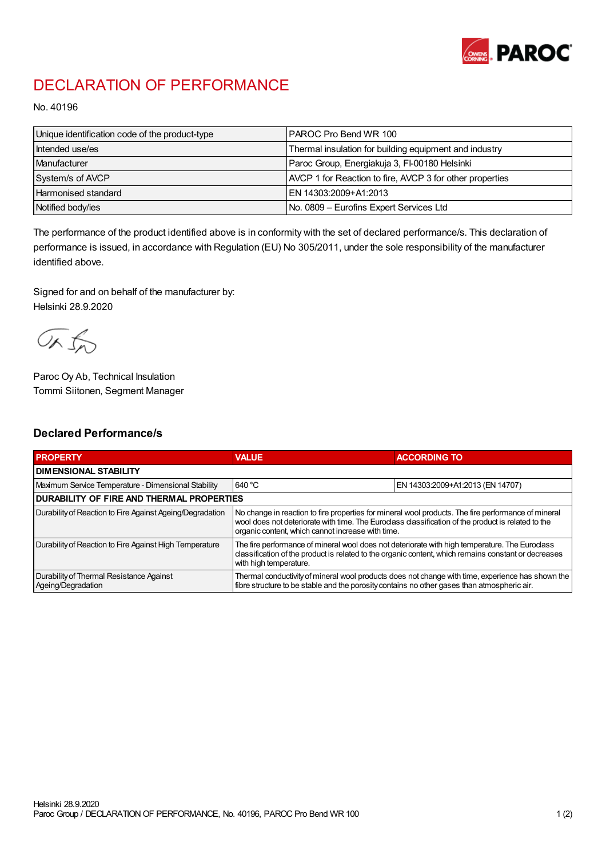

## DECLARATION OF PERFORMANCE

No. 40196

| Unique identification code of the product-type | I PAROC Pro Bend WR 100                                  |
|------------------------------------------------|----------------------------------------------------------|
| Intended use/es                                | Thermal insulation for building equipment and industry   |
| Manufacturer                                   | Paroc Group, Energiakuja 3, FI-00180 Helsinki            |
| System/s of AVCP                               | AVCP 1 for Reaction to fire, AVCP 3 for other properties |
| <b>Harmonised standard</b>                     | EN 14303:2009+A1:2013                                    |
| Notified body/ies                              | No. 0809 – Eurofins Expert Services Ltd                  |

The performance of the product identified above is in conformity with the set of declared performance/s. This declaration of performance is issued, in accordance with Regulation (EU) No 305/2011, under the sole responsibility of the manufacturer identified above.

Signed for and on behalf of the manufacturer by: Helsinki 28.9.2020

ORJO

Paroc Oy Ab, Technical Insulation Tommi Siitonen, Segment Manager

## Declared Performance/s

| <b>PROPERTY</b>                                                | <b>VALUE</b>                                                                                                                                                                                                                                                   | <b>ACCORDING TO</b>              |  |
|----------------------------------------------------------------|----------------------------------------------------------------------------------------------------------------------------------------------------------------------------------------------------------------------------------------------------------------|----------------------------------|--|
| <b>I DIMENSIONAL STABILITY</b>                                 |                                                                                                                                                                                                                                                                |                                  |  |
| Maximum Service Temperature - Dimensional Stability            | 640 °C                                                                                                                                                                                                                                                         | EN 14303:2009+A1:2013 (EN 14707) |  |
| <b>DURABILITY OF FIRE AND THERMAL PROPERTIES</b>               |                                                                                                                                                                                                                                                                |                                  |  |
| Durability of Reaction to Fire Against Ageing/Degradation      | No change in reaction to fire properties for mineral wool products. The fire performance of mineral<br>wool does not deteriorate with time. The Euroclass classification of the product is related to the<br>organic content, which cannot increase with time. |                                  |  |
| Durability of Reaction to Fire Against High Temperature        | The fire performance of mineral wool does not deteriorate with high temperature. The Euroclass<br>classification of the product is related to the organic content, which remains constant or decreases<br>with high temperature.                               |                                  |  |
| Durability of Thermal Resistance Against<br>Ageing/Degradation | Thermal conductivity of mineral wool products does not change with time, experience has shown the<br>fibre structure to be stable and the porosity contains no other gases than atmospheric air.                                                               |                                  |  |